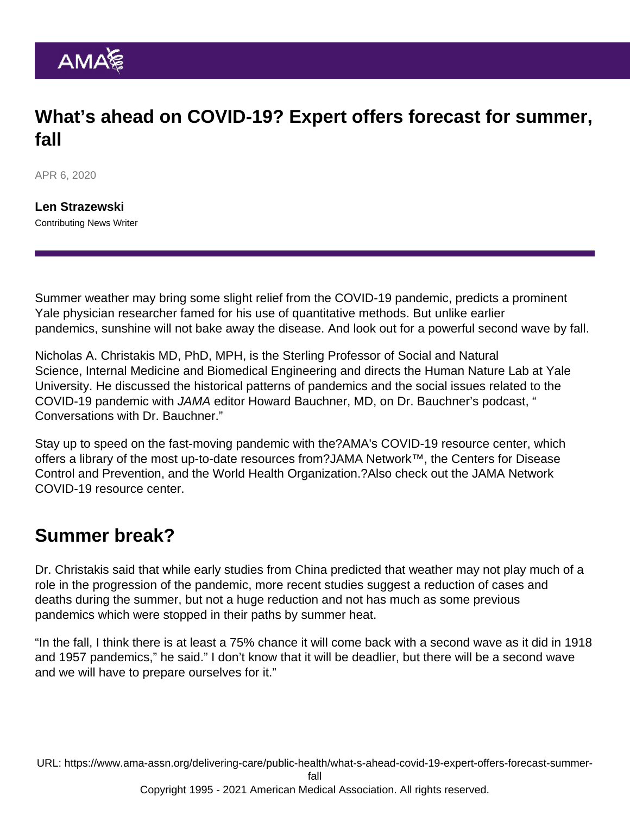# What's ahead on COVID-19? Expert offers forecast for summer, fall

APR 6, 2020

[Len Strazewski](https://www.ama-assn.org/news-leadership-viewpoints/authors-news-leadership-viewpoints/len-strazewski) Contributing News Writer

Summer weather may bring some slight relief from the COVID-19 pandemic, predicts a prominent Yale physician researcher famed for his use of quantitative methods. But unlike earlier pandemics, sunshine will not bake away the disease. And look out for a powerful second wave by fall.

Nicholas A. Christakis MD, PhD, MPH, is the Sterling Professor of Social and Natural Science, Internal Medicine and Biomedical Engineering and directs the Human Nature Lab at Yale University. He discussed the historical patterns of pandemics and the social issues related to the COVID-19 pandemic with JAMA editor Howard Bauchner, MD, on Dr. Bauchner's podcast, " [Conversations with Dr. Bauchner](https://jamanetwork.com/journals/jama/pages/conversations-with-dr-bauchner)."

Stay up to speed on the fast-moving pandemic with the?[AMA's COVID-19 resource center,](https://www.ama-assn.org/delivering-care/public-health/covid-19-2019-novel-coronavirus-resource-center-physicians) which offers a library of the most up-to-date resources from?[JAMA Network](https://jamanetwork.com/)™, the Centers for Disease Control and Prevention, and the World Health Organization.?Also check out the [JAMA Network](https://jamanetwork.com/journals/jama/pages/coronavirus-alert) [COVID-19 resource center](https://jamanetwork.com/journals/jama/pages/coronavirus-alert).

#### Summer break?

Dr. Christakis said that while early studies from China predicted that weather may not play much of a role in the progression of the pandemic, more recent studies suggest a reduction of cases and deaths during the summer, but not a huge reduction and not has much as some previous pandemics which were stopped in their paths by summer heat.

"In the fall, I think there is at least a 75% chance it will come back with a second wave as it did in 1918 and 1957 pandemics," he said." I don't know that it will be deadlier, but there will be a second wave and we will have to prepare ourselves for it."

URL: [https://www.ama-assn.org/delivering-care/public-health/what-s-ahead-covid-19-expert-offers-forecast-summer-](https://www.ama-assn.org/delivering-care/public-health/what-s-ahead-covid-19-expert-offers-forecast-summer-fall)

[fall](https://www.ama-assn.org/delivering-care/public-health/what-s-ahead-covid-19-expert-offers-forecast-summer-fall)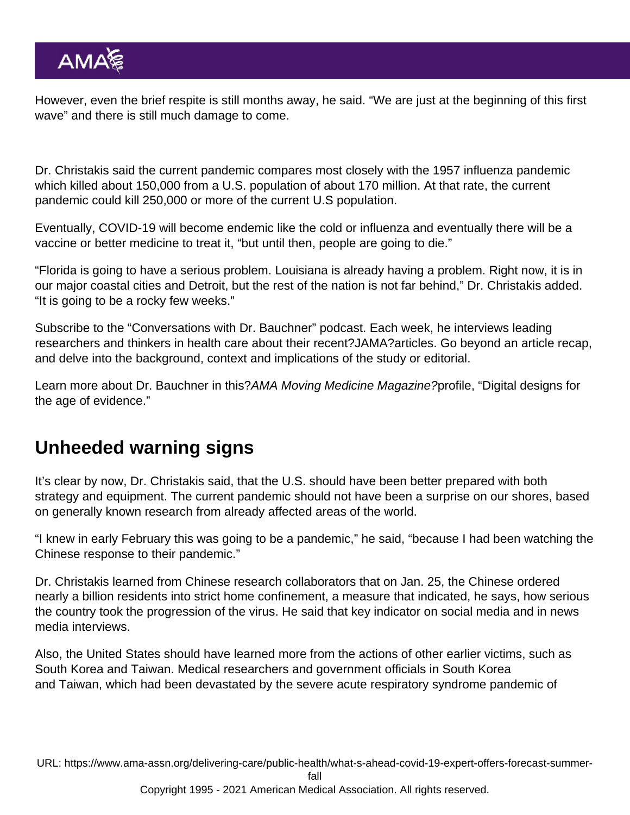However, even the brief respite is still months away, he said. "We are just at the beginning of this first wave" and there is still much damage to come.

Dr. Christakis said the current pandemic compares most closely with the 1957 influenza pandemic which killed about 150,000 from a U.S. population of about 170 million. At that rate, the current pandemic could kill 250,000 or more of the current U.S population.

Eventually, COVID-19 will become endemic like the cold or influenza and eventually there will be a vaccine or better medicine to treat it, "but until then, people are going to die."

"Florida is going to have a serious problem. Louisiana is already having a problem. Right now, it is in our major coastal cities and Detroit, but the rest of the nation is not far behind," Dr. Christakis added. "It is going to be a rocky few weeks."

Subscribe to the ["Conversations with Dr. Bauchner](https://jamanetwork.com/journals/jama/pages/conversations-with-dr-bauchner)" podcast. Each week, he interviews leading researchers and thinkers in health care about their recent?JAMA?articles. Go beyond an article recap, and delve into the background, context and implications of the study or editorial.

Learn more about Dr. Bauchner in this[?AMA Moving Medicine Magazine?](https://www.ama-assn.org/amaone/ama-moving-medicine-magazine)profile, "[Digital designs for](https://www.ama-assn.org/about/publications-newsletters/digital-designs-age-evidence) [the age of evidence.](https://www.ama-assn.org/about/publications-newsletters/digital-designs-age-evidence)"

## Unheeded warning signs

It's clear by now, Dr. Christakis said, that the U.S. should have been better prepared with both strategy and equipment. The current pandemic should not have been a surprise on our shores, based on generally known research from already affected areas of the world.

"I knew in early February this was going to be a pandemic," he said, "because I had been watching the Chinese response to their pandemic."

Dr. Christakis learned from Chinese research collaborators that on Jan. 25, the Chinese ordered nearly a billion residents into strict home confinement, a measure that indicated, he says, how serious the country took the progression of the virus. He said that key indicator on social media and in news media interviews.

Also, the United States should have learned more from the actions of other earlier victims, such as South Korea and Taiwan. Medical researchers and government officials in South Korea and Taiwan, which had been devastated by the severe acute respiratory syndrome pandemic of

URL: [https://www.ama-assn.org/delivering-care/public-health/what-s-ahead-covid-19-expert-offers-forecast-summer-](https://www.ama-assn.org/delivering-care/public-health/what-s-ahead-covid-19-expert-offers-forecast-summer-fall)

[fall](https://www.ama-assn.org/delivering-care/public-health/what-s-ahead-covid-19-expert-offers-forecast-summer-fall)